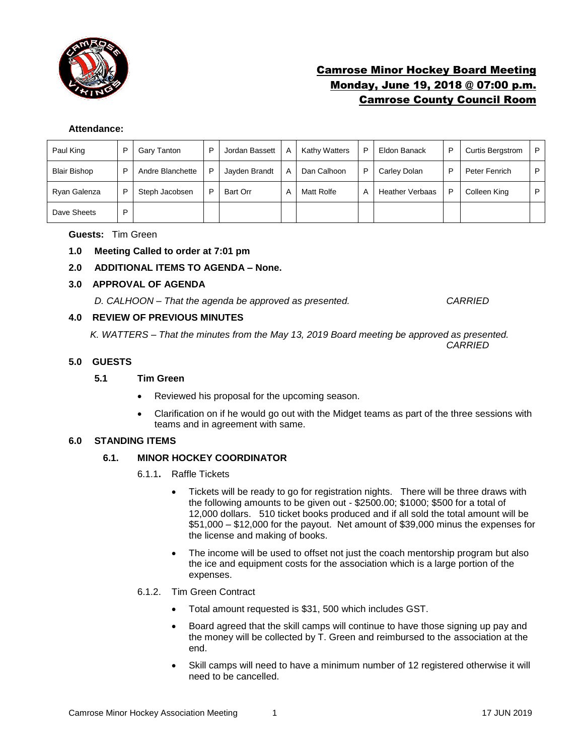

# Camrose Minor Hockey Board Meeting Monday, June 19, 2018 @ 07:00 p.m. Camrose County Council Room

#### **Attendance:**

| Paul King           | D | Gary Tanton      | D | Jordan Bassett | Α | <b>Kathy Watters</b> | D | Eldon Banack           | P | <b>Curtis Bergstrom</b> | P |
|---------------------|---|------------------|---|----------------|---|----------------------|---|------------------------|---|-------------------------|---|
| <b>Blair Bishop</b> | D | Andre Blanchette | D | Jayden Brandt  | A | Dan Calhoon          | D | Carley Dolan           | P | Peter Fenrich           | P |
| Ryan Galenza        | D | Steph Jacobsen   |   | Bart Orr       | А | Matt Rolfe           | A | <b>Heather Verbaas</b> | P | Colleen King            | P |
| Dave Sheets         | D |                  |   |                |   |                      |   |                        |   |                         |   |

#### **Guests:** Tim Green

**1.0 Meeting Called to order at 7:01 pm**

### **2.0 ADDITIONAL ITEMS TO AGENDA – None.**

**3.0 APPROVAL OF AGENDA**

*D. CALHOON – That the agenda be approved as presented. CARRIED*

### **4.0 REVIEW OF PREVIOUS MINUTES**

*K. WATTERS – That the minutes from the May 13, 2019 Board meeting be approved as presented. CARRIED*

#### **5.0 GUESTS**

#### **5.1 Tim Green**

- Reviewed his proposal for the upcoming season.
- Clarification on if he would go out with the Midget teams as part of the three sessions with teams and in agreement with same.

### **6.0 STANDING ITEMS**

### **6.1. MINOR HOCKEY COORDINATOR**

- 6.1.1**.** Raffle Tickets
	- Tickets will be ready to go for registration nights. There will be three draws with the following amounts to be given out - \$2500.00; \$1000; \$500 for a total of 12,000 dollars. 510 ticket books produced and if all sold the total amount will be \$51,000 – \$12,000 for the payout. Net amount of \$39,000 minus the expenses for the license and making of books.
	- The income will be used to offset not just the coach mentorship program but also the ice and equipment costs for the association which is a large portion of the expenses.
- 6.1.2. Tim Green Contract
	- Total amount requested is \$31, 500 which includes GST.
	- Board agreed that the skill camps will continue to have those signing up pay and the money will be collected by T. Green and reimbursed to the association at the end.
	- Skill camps will need to have a minimum number of 12 registered otherwise it will need to be cancelled.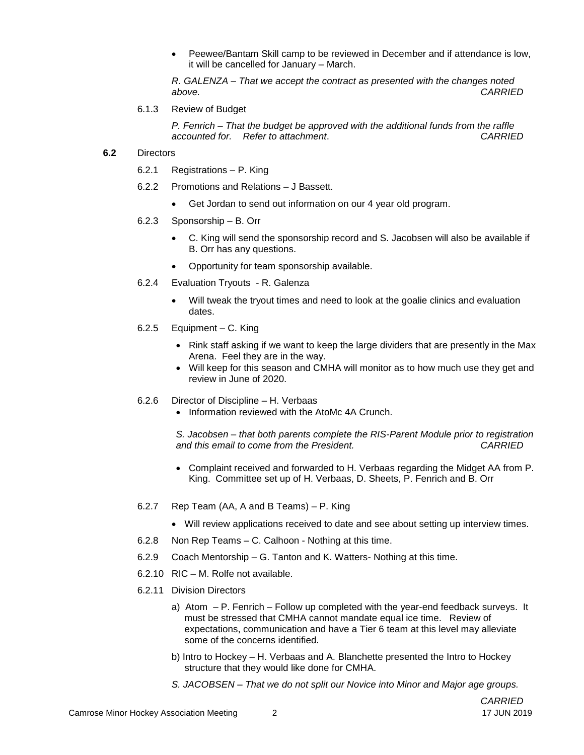Peewee/Bantam Skill camp to be reviewed in December and if attendance is low, it will be cancelled for January – March.

*R. GALENZA – That we accept the contract as presented with the changes noted above. CARRIED*

6.1.3 Review of Budget

*P. Fenrich – That the budget be approved with the additional funds from the raffle accounted for. Refer to attachment*. *CARRIED*

#### **6.2** Directors

- 6.2.1 Registrations P. King
- 6.2.2 Promotions and Relations J Bassett.
	- Get Jordan to send out information on our 4 year old program.
- 6.2.3 Sponsorship B. Orr
	- C. King will send the sponsorship record and S. Jacobsen will also be available if B. Orr has any questions.
	- Opportunity for team sponsorship available.
- 6.2.4 Evaluation Tryouts R. Galenza
	- Will tweak the tryout times and need to look at the goalie clinics and evaluation dates.
- 6.2.5 Equipment C. King
	- Rink staff asking if we want to keep the large dividers that are presently in the Max Arena. Feel they are in the way.
	- Will keep for this season and CMHA will monitor as to how much use they get and review in June of 2020.
- 6.2.6 Director of Discipline H. Verbaas
	- Information reviewed with the AtoMc 4A Crunch.

*S. Jacobsen – that both parents complete the RIS-Parent Module prior to registration and this email to come from the President. CARRIED*

- Complaint received and forwarded to H. Verbaas regarding the Midget AA from P. King. Committee set up of H. Verbaas, D. Sheets, P. Fenrich and B. Orr
- 6.2.7 Rep Team (AA, A and B Teams) P. King
	- Will review applications received to date and see about setting up interview times.
- 6.2.8 Non Rep Teams C. Calhoon Nothing at this time.
- 6.2.9 Coach Mentorship G. Tanton and K. Watters- Nothing at this time.
- 6.2.10 RIC M. Rolfe not available.
- 6.2.11 Division Directors
	- a) Atom P. Fenrich Follow up completed with the year-end feedback surveys. It must be stressed that CMHA cannot mandate equal ice time. Review of expectations, communication and have a Tier 6 team at this level may alleviate some of the concerns identified.
	- b) Intro to Hockey H. Verbaas and A. Blanchette presented the Intro to Hockey structure that they would like done for CMHA.
	- *S. JACOBSEN – That we do not split our Novice into Minor and Major age groups.*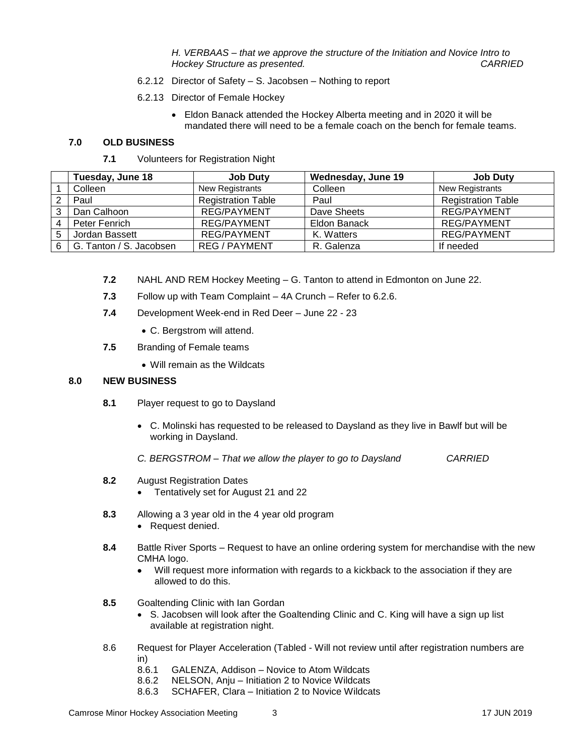*H. VERBAAS – that we approve the structure of the Initiation and Novice Intro to Hockey Structure as presented. CARRIED*

- 6.2.12 Director of Safety S. Jacobsen Nothing to report
- 6.2.13 Director of Female Hockey
	- Eldon Banack attended the Hockey Alberta meeting and in 2020 it will be mandated there will need to be a female coach on the bench for female teams.

### **7.0 OLD BUSINESS**

#### **7.1** Volunteers for Registration Night

|   | Tuesday, June 18        | <b>Job Duty</b>           | Wednesday, June 19 | <b>Job Duty</b>           |
|---|-------------------------|---------------------------|--------------------|---------------------------|
|   | Colleen                 | New Registrants           | Colleen            | <b>New Registrants</b>    |
|   | Paul                    | <b>Registration Table</b> | Paul               | <b>Registration Table</b> |
| 3 | Dan Calhoon             | REG/PAYMENT               | Dave Sheets        | <b>REG/PAYMENT</b>        |
|   | Peter Fenrich           | <b>REG/PAYMENT</b>        | Eldon Banack       | <b>REG/PAYMENT</b>        |
| 5 | Jordan Bassett          | <b>REG/PAYMENT</b>        | K. Watters         | <b>REG/PAYMENT</b>        |
|   | G. Tanton / S. Jacobsen | <b>REG/PAYMENT</b>        | R. Galenza         | If needed                 |

- **7.2** NAHL AND REM Hockey Meeting G. Tanton to attend in Edmonton on June 22.
- **7.3** Follow up with Team Complaint 4A Crunch Refer to 6.2.6.
- **7.4** Development Week-end in Red Deer June 22 23
	- C. Bergstrom will attend.
- **7.5** Branding of Female teams
	- Will remain as the Wildcats

#### **8.0 NEW BUSINESS**

- **8.1** Player request to go to Daysland
	- C. Molinski has requested to be released to Daysland as they live in Bawlf but will be working in Daysland.
	- *C. BERGSTROM – That we allow the player to go to Daysland CARRIED*
- **8.2** August Registration Dates
	- Tentatively set for August 21 and 22
- **8.3** Allowing a 3 year old in the 4 year old program
	- Request denied.
- **8.4** Battle River Sports Request to have an online ordering system for merchandise with the new CMHA logo.
	- Will request more information with regards to a kickback to the association if they are allowed to do this.
- **8.5** Goaltending Clinic with Ian Gordan
	- S. Jacobsen will look after the Goaltending Clinic and C. King will have a sign up list available at registration night.
- 8.6 Request for Player Acceleration (Tabled Will not review until after registration numbers are in)
	- 8.6.1 GALENZA, Addison Novice to Atom Wildcats
	- 8.6.2 NELSON, Anju Initiation 2 to Novice Wildcats
	- 8.6.3 SCHAFER, Clara Initiation 2 to Novice Wildcats